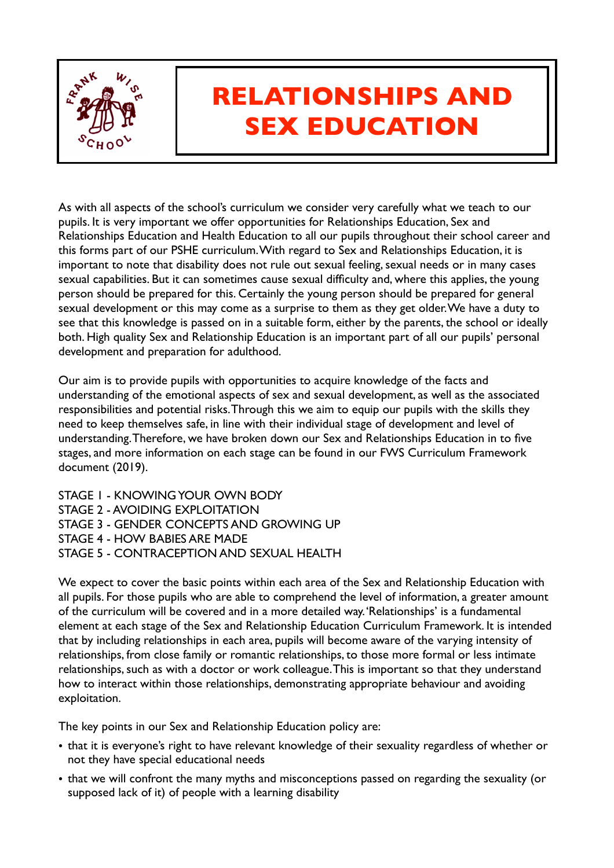

## **RELATIONSHIPS AND SEX EDUCATION**

As with all aspects of the school's curriculum we consider very carefully what we teach to our pupils. It is very important we offer opportunities for Relationships Education, Sex and Relationships Education and Health Education to all our pupils throughout their school career and this forms part of our PSHE curriculum. With regard to Sex and Relationships Education, it is important to note that disability does not rule out sexual feeling, sexual needs or in many cases sexual capabilities. But it can sometimes cause sexual difficulty and, where this applies, the young person should be prepared for this. Certainly the young person should be prepared for general sexual development or this may come as a surprise to them as they get older. We have a duty to see that this knowledge is passed on in a suitable form, either by the parents, the school or ideally both. High quality Sex and Relationship Education is an important part of all our pupils' personal development and preparation for adulthood.

Our aim is to provide pupils with opportunities to acquire knowledge of the facts and understanding of the emotional aspects of sex and sexual development, as well as the associated responsibilities and potential risks. Through this we aim to equip our pupils with the skills they need to keep themselves safe, in line with their individual stage of development and level of understanding. Therefore, we have broken down our Sex and Relationships Education in to five stages, and more information on each stage can be found in our FWS Curriculum Framework document (2019).

STAGE 1 - KNOWING YOUR OWN BODY STAGE 2 - AVOIDING EXPLOITATION STAGE 3 - GENDER CONCEPTS AND GROWING UP STAGE 4 - HOW BABIES ARE MADE STAGE 5 - CONTRACEPTION AND SEXUAL HEALTH

We expect to cover the basic points within each area of the Sex and Relationship Education with all pupils. For those pupils who are able to comprehend the level of information, a greater amount of the curriculum will be covered and in a more detailed way. 'Relationships' is a fundamental element at each stage of the Sex and Relationship Education Curriculum Framework. It is intended that by including relationships in each area, pupils will become aware of the varying intensity of relationships, from close family or romantic relationships, to those more formal or less intimate relationships, such as with a doctor or work colleague. This is important so that they understand how to interact within those relationships, demonstrating appropriate behaviour and avoiding exploitation.

The key points in our Sex and Relationship Education policy are:

- that it is everyone's right to have relevant knowledge of their sexuality regardless of whether or not they have special educational needs
- that we will confront the many myths and misconceptions passed on regarding the sexuality (or supposed lack of it) of people with a learning disability